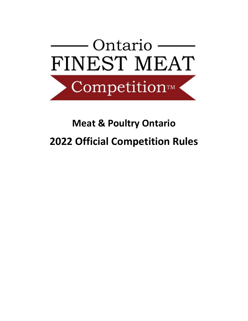

# **Meat & Poultry Ontario 2022 Official Competition Rules**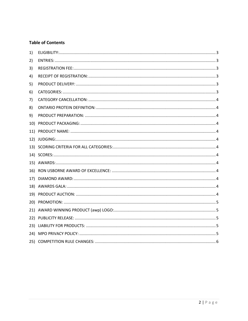## **Table of Contents**

| 1)  |  |
|-----|--|
| 2)  |  |
| 3)  |  |
| 4)  |  |
| 5)  |  |
| 6)  |  |
| 7)  |  |
| 8)  |  |
| 9)  |  |
| 10) |  |
|     |  |
| 12) |  |
|     |  |
|     |  |
|     |  |
|     |  |
|     |  |
|     |  |
|     |  |
|     |  |
|     |  |
|     |  |
|     |  |
|     |  |
|     |  |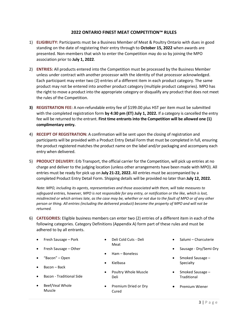### **2022 ONTARIO FINEST MEAT COMPETITION™ RULES**

- <span id="page-2-0"></span>1) **ELIGIBILITY:** Participants must be a Business Member of Meat & Poultry Ontario with dues in good standing on the date of registering their entry through to **October 15, 2022** when awards are presented. Non-members that wish to enter the Competition may do so by joining the MPO association prior to **July 1, 2022**.
- <span id="page-2-1"></span>2) **ENTRIES:** All products entered into the Competition must be processed by the Business Member unless under contract with another processor with the identity of that processor acknowledged. Each participant may enter two (2) entries of a different item in each product category. The same product may not be entered into another product category (multiple product categories). MPO has the right to move a product into the appropriate category or disqualify any product that does not meet the rules of the Competition.
- <span id="page-2-2"></span>**3) REGISTRATION FEE:** A non-refundable entry fee of \$199.00 plus HST per item must be submitted with the completed registration form **by 4:30 pm (ET) July 1, 2022.** If a category is cancelled the entry fee will be returned to the entrant. **First time entrants into the Competition will be allowed one (1) complimentary entry.**
- <span id="page-2-3"></span>4) **RECEIPT OF REGISTRATION:** A confirmation will be sent upon the closing of registration and participants will be provided with a Product Entry Detail Form that must be completed in full, ensuring the product registered matches the product name on the label and/or packaging and accompany each entry when delivered.
- <span id="page-2-4"></span>5) **PRODUCT DELIVERY:** Erb Transport, the official carrier for the Competition, will pick up entries at no charge and deliver to the judging location (unless other arrangements have been made with MPO). All entries must be ready for pick up on **July 21-22, 2022.** All entries must be accompanied by a completed Product Entry Detail Form. Shipping details will be provided no later than **July 12, 2022.**

*Note: MPO, including its agents, representatives and those associated with them, will take measures to safeguard entries, however, MPO is not responsible for any entry, or notification or the like, which is lost, misdirected or which arrives late, as the case may be, whether or not due to the fault of MPO or of any other person or thing. All entries (including the delivered product) become the property of MPO and will not be returned.*

- <span id="page-2-5"></span>6) **CATEGORIES:** Eligible business members can enter two (2) entries of a different item in each of the following categories. Category Definitions (Appendix A) form part of these rules and must be adhered to by all entrants.
	- Fresh Sausage Pork
	- Fresh Sausage Other
	- "Bacon" Open
	- Bacon Back
	- Bacon Traditional Side
	- Beef/Veal Whole Muscle
- Deli Cold Cuts Deli Meat
- Ham Boneless
- Kielbasa
- Poultry Whole Muscle Deli
- <span id="page-2-6"></span>• Premium Dried or Dry Cured
- Salumi Charcuterie
- Sausage Dry/Semi-Dry
- Smoked Sausage **Specialty**
- Smoked Sausage **Traditional**
- Premium Wiener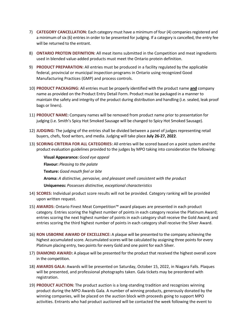- 7) **CATEGORY CANCELLATION:** Each category must have a minimum of four (4) companies registered and a minimum of six (6) entries in order to be presented for judging. If a category is cancelled, the entry fee will be returned to the entrant.
- <span id="page-3-0"></span>8) **ONTARIO PROTEIN DEFINITION:** All meat items submitted in the Competition and meat ingredients used in blended value-added products must meet the Ontario protein definition.
- <span id="page-3-1"></span>9) **PRODUCT PREPARATION:** All entries must be produced in a facility regulated by the applicable federal, provincial or municipal inspection programs in Ontario using recognized Good Manufacturing Practices (GMP) and process controls.
- <span id="page-3-2"></span>10) **PRODUCT PACKAGING:** All entries must be properly identified with the product name **and** company name as provided on the Product Entry Detail Form. Product must be packaged in a manner to maintain the safety and integrity of the product during distribution and handling (i.e. sealed, leak proof bags or liners).
- <span id="page-3-3"></span>11) **PRODUCT NAME:** Company names will be removed from product name prior to presentation for judging (i.e. Smith's Spicy Hot Smoked Sausage will be changed to Spicy Hot Smoked Sausage).
- <span id="page-3-4"></span>12) **JUDGING:** The judging of the entries shall be divided between a panel of judges representing retail buyers, chefs, food writers, and media. Judging will take place **July 26-27, 2022**.
- <span id="page-3-5"></span>13) **SCORING CRITERIA FOR ALL CATEGORIES:** All entries will be scored based on a point system and the product evaluation guidelines provided to the judges by MPO taking into consideration the following:

**Visual Appearance:** *Good eye appeal* **Flavour:** *Pleasing to the palate* **Texture:** *Good mouth feel or bite* **Aroma:** *A distinctive, pervasive, and pleasant smell consistent with the product*  **Uniqueness:** *Possesses distinctive, exceptional characteristics*

- <span id="page-3-6"></span>14) **SCORES:** Individual product score results will not be provided. Category ranking will be provided upon written request.
- <span id="page-3-7"></span>15) **AWARDS:** Ontario Finest Meat Competition™ award plaques are presented in each product category. Entries scoring the highest number of points in each category receive the Platinum Award; entries scoring the next highest number of points in each category shall receive the Gold Award; and entries scoring the third highest number of points in each category shall receive the Silver Award.
- <span id="page-3-8"></span>16) **RON USBORNE AWARD OF EXCELLENCE:** A plaque will be presented to the company achieving the highest accumulated score. Accumulated scores will be calculated by assigning three points for every Platinum placing entry, two points for every Gold and one point for each Silver.
- <span id="page-3-9"></span>17) **DIAMOND AWARD:** A plaque will be presented for the product that received the highest overall score in the competition.
- <span id="page-3-10"></span>18) **AWARDS GALA:** Awards will be presented on Saturday, October 15, 2022, in Niagara Falls. Plaques will be presented, and professional photographs taken. Gala tickets may be preordered with registration.
- <span id="page-3-11"></span>19) **PRODUCT AUCTION:** The product auction is a long-standing tradition and recognizes winning product during the MPO Awards Gala. A number of winning products, generously donated by the winning companies, will be placed on the auction block with proceeds going to support MPO activities. Entrants who had product auctioned will be contacted the week following the event to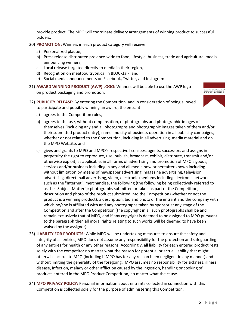<span id="page-4-0"></span>provide product. The MPO will coordinate delivery arrangements of winning product to successful bidders.

- 20) **PROMOTION:** Winners in each product category will receive:
	- a) Personalized plaque,
	- b) Press release distributed province-wide to food, lifestyle, business, trade and agricultural media announcing winners,
	- c) Local release targeted directly to media in their region,
	- d) Recognition on meatpoultryon.ca, in BLOCKtalk, and,
	- e) Social media announcements on Facebook, Twitter, and Instagram.
- <span id="page-4-1"></span>21) **AWARD WINNING PRODUCT (AWP) LOGO:** Winners will be able to use the AWP logo on product packaging and promotion.
- <span id="page-4-2"></span>22) **PUBLICITY RELEASE:** By entering the Competition, and in consideration of being allowed to participate and possibly winning an award, the entrant:



- a) agrees to the Competition rules,
- b) agrees to the use, without compensation, of photographs and photographic images of themselves (including any and all photographs and photographic images taken of them and/or their submitted product entry), name and city of business operation in all publicity campaigns, whether or not related to the Competition, including in all advertising, media material and on the MPO Website, and
- c) gives and grants to MPO and MPO's respective licensees, agents, successors and assigns in perpetuity the right to reproduce, use, publish, broadcast, exhibit, distribute, transmit and/or otherwise exploit, as applicable, in all forms of advertising and promotion of MPO's goods, services and/or business including in any and all media now or hereafter known including without limitation by means of newspaper advertising, magazine advertising, television advertising, direct mail advertising, video, electronic mediums including electronic networks such as the "Internet", merchandise, the following (the following being collectively referred to as the "Subject Matter"); photographs submitted or taken as part of the Competition, a description and photo of the product submitted into the Competition (whether or not the product is a winning product); a description, bio and photo of the entrant and the company with which he/she is affiliated with and any photographs taken by sponsor at any stage of the Competition and after the Competition (the copyright in all such photographs shall be and remain exclusively that of MPO, and if any copyright is deemed to be assigned to MPO pursuant to the paragraph then all moral rights relating to such works will be deemed to have been waived by the assignor).
- <span id="page-4-3"></span>23) **LIABILITY FOR PRODUCTS:** While MPO will be undertaking measures to ensure the safety and integrity of all entries, MPO does not assume any responsibility for the protection and safeguarding of any entries for health or any other reasons. Accordingly, all liability for each entered product rests solely with the competitor no matter what the reason for potential or actual liability that might otherwise accrue to MPO (including if MPO has for any reason been negligent in any manner) and without limiting the generality of the foregoing, MPO assumes no responsibility for sickness, illness, disease, infection, malady or other affliction caused by the ingestion, handling or cooking of products entered in the MPO Product Competition, no matter what the cause.
- <span id="page-4-4"></span>24) **MPO PRIVACY POLICY:** Personal information about entrants collected in connection with this Competition is collected solely for the purpose of administering this Competition.